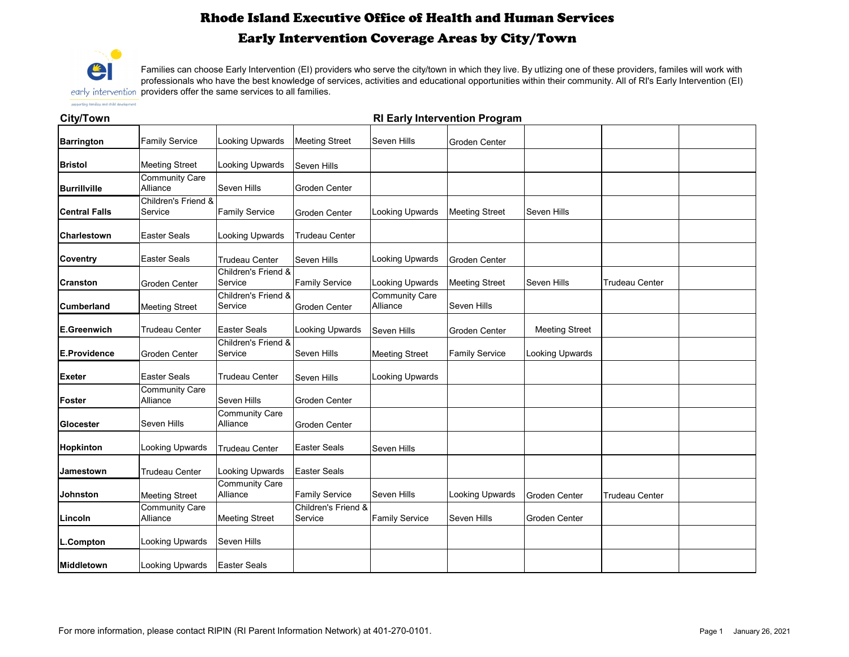### **City/Town**

| <b>Family Service</b>             | <b>Looking Upwards</b>                    | <b>Meeting Street</b>                                             | Seven Hills                       | <b>Groden Center</b>   |                        |                       |  |
|-----------------------------------|-------------------------------------------|-------------------------------------------------------------------|-----------------------------------|------------------------|------------------------|-----------------------|--|
| <b>Meeting Street</b>             | <b>Looking Upwards</b>                    | <b>Seven Hills</b>                                                |                                   |                        |                        |                       |  |
| <b>Community Care</b><br>Alliance | Seven Hills                               | <b>Groden Center</b>                                              |                                   |                        |                        |                       |  |
| Children's Friend &<br>Service    | <b>Family Service</b>                     | <b>Groden Center</b>                                              | <b>Looking Upwards</b>            | <b>Meeting Street</b>  | <b>Seven Hills</b>     |                       |  |
| <b>Easter Seals</b>               | Looking Upwards                           | <b>Trudeau Center</b>                                             |                                   |                        |                        |                       |  |
| <b>Easter Seals</b>               | <b>Trudeau Center</b>                     | <b>Seven Hills</b>                                                | Looking Upwards                   | <b>Groden Center</b>   |                        |                       |  |
| <b>Groden Center</b>              | Service                                   | <b>Family Service</b>                                             | <b>Looking Upwards</b>            | <b>Meeting Street</b>  | <b>Seven Hills</b>     | <b>Trudeau Center</b> |  |
| <b>Meeting Street</b>             | <b>Children's Friend &amp;</b><br>Service | <b>Groden Center</b>                                              | <b>Community Care</b><br>Alliance | <b>Seven Hills</b>     |                        |                       |  |
| <b>Trudeau Center</b>             | <b>Easter Seals</b>                       | Looking Upwards                                                   | Seven Hills                       | <b>Groden Center</b>   | <b>Meeting Street</b>  |                       |  |
| <b>Groden Center</b>              | Service                                   | Seven Hills                                                       | <b>Meeting Street</b>             | <b>Family Service</b>  | <b>Looking Upwards</b> |                       |  |
| <b>Easter Seals</b>               | <b>Trudeau Center</b>                     | <b>Seven Hills</b>                                                | <b>Looking Upwards</b>            |                        |                        |                       |  |
| <b>Community Care</b><br>Alliance | <b>Seven Hills</b>                        | <b>Groden Center</b>                                              |                                   |                        |                        |                       |  |
| <b>Seven Hills</b>                | <b>Community Care</b><br>Alliance         | <b>Groden Center</b>                                              |                                   |                        |                        |                       |  |
| Looking Upwards                   | <b>Trudeau Center</b>                     | <b>Easter Seals</b>                                               | <b>Seven Hills</b>                |                        |                        |                       |  |
| <b>Trudeau Center</b>             | <b>Looking Upwards</b>                    | <b>Easter Seals</b>                                               |                                   |                        |                        |                       |  |
| <b>Meeting Street</b>             | <b>Community Care</b><br>Alliance         | <b>Family Service</b>                                             | Seven Hills                       | <b>Looking Upwards</b> | <b>Groden Center</b>   | <b>Trudeau Center</b> |  |
| <b>Community Care</b><br>Alliance | <b>Meeting Street</b>                     |                                                                   | <b>Family Service</b>             | Seven Hills            | <b>Groden Center</b>   |                       |  |
| <b>Looking Upwards</b>            | Seven Hills                               |                                                                   |                                   |                        |                        |                       |  |
| Looking Upwards                   |                                           |                                                                   |                                   |                        |                        |                       |  |
|                                   |                                           | Children's Friend &<br>Children's Friend &<br><b>Easter Seals</b> | Service                           | Children's Friend &    |                        |                       |  |

Families can choose Early Intervention (EI) providers who serve the city/town in which they live. By utlizing one of these providers, familes will work with professionals who have the best knowledge of services, activities and educational opportunities within their community. All of RI's Early Intervention (EI) early intervention providers offer the same services to all families.

supporting families and child development

# Rhode Island Executive Office of Health and Human Services Early Intervention Coverage Areas by City/Town



### **RI Early Intervention Program**